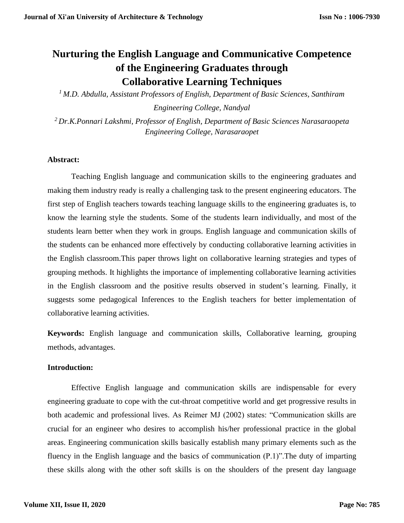# **Nurturing the English Language and Communicative Competence of the Engineering Graduates through Collaborative Learning Techniques**

*<sup>1</sup>M.D. Abdulla, Assistant Professors of English, Department of Basic Sciences, Santhiram* 

*Engineering College, Nandyal*

*<sup>2</sup>Dr.K.Ponnari Lakshmi, Professor of English, Department of Basic Sciences Narasaraopeta Engineering College, Narasaraopet*

## **Abstract:**

Teaching English language and communication skills to the engineering graduates and making them industry ready is really a challenging task to the present engineering educators. The first step of English teachers towards teaching language skills to the engineering graduates is, to know the learning style the students. Some of the students learn individually, and most of the students learn better when they work in groups. English language and communication skills of the students can be enhanced more effectively by conducting collaborative learning activities in the English classroom.This paper throws light on collaborative learning strategies and types of grouping methods. It highlights the importance of implementing collaborative learning activities in the English classroom and the positive results observed in student's learning. Finally, it suggests some pedagogical Inferences to the English teachers for better implementation of collaborative learning activities.

**Keywords:** English language and communication skills, Collaborative learning, grouping methods, advantages.

#### **Introduction:**

Effective English language and communication skills are indispensable for every engineering graduate to cope with the cut-throat competitive world and get progressive results in both academic and professional lives. As Reimer MJ (2002) states: "Communication skills are crucial for an engineer who desires to accomplish his/her professional practice in the global areas. Engineering communication skills basically establish many primary elements such as the fluency in the English language and the basics of communication (P.1)".The duty of imparting these skills along with the other soft skills is on the shoulders of the present day language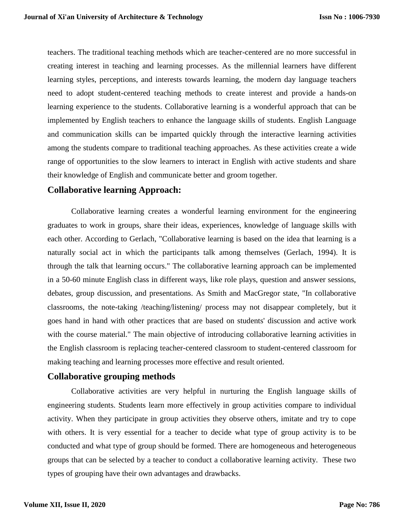teachers. The traditional teaching methods which are teacher-centered are no more successful in creating interest in teaching and learning processes. As the millennial learners have different learning styles, perceptions, and interests towards learning, the modern day language teachers need to adopt student-centered teaching methods to create interest and provide a hands-on learning experience to the students. Collaborative learning is a wonderful approach that can be implemented by English teachers to enhance the language skills of students. English Language and communication skills can be imparted quickly through the interactive learning activities among the students compare to traditional teaching approaches. As these activities create a wide range of opportunities to the slow learners to interact in English with active students and share their knowledge of English and communicate better and groom together.

## **Collaborative learning Approach:**

Collaborative learning creates a wonderful learning environment for the engineering graduates to work in groups, share their ideas, experiences, knowledge of language skills with each other. According to Gerlach, "Collaborative learning is based on the idea that learning is a naturally social act in which the participants talk among themselves (Gerlach, 1994). It is through the talk that learning occurs." The collaborative learning approach can be implemented in a 50-60 minute English class in different ways, like role plays, question and answer sessions, debates, group discussion, and presentations. As Smith and MacGregor state, "In collaborative classrooms, the note-taking /teaching/listening/ process may not disappear completely, but it goes hand in hand with other practices that are based on students' discussion and active work with the course material." The main objective of introducing collaborative learning activities in the English classroom is replacing teacher-centered classroom to student-centered classroom for making teaching and learning processes more effective and result oriented.

## **Collaborative grouping methods**

Collaborative activities are very helpful in nurturing the English language skills of engineering students. Students learn more effectively in group activities compare to individual activity. When they participate in group activities they observe others, imitate and try to cope with others. It is very essential for a teacher to decide what type of group activity is to be conducted and what type of group should be formed. There are homogeneous and heterogeneous groups that can be selected by a teacher to conduct a collaborative learning activity. These two types of grouping have their own advantages and drawbacks.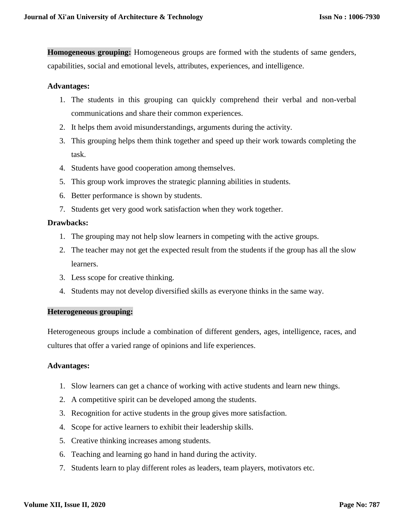**Homogeneous grouping:** Homogeneous groups are formed with the students of same genders, capabilities, social and emotional levels, attributes, experiences, and intelligence.

#### **Advantages:**

- 1. The students in this grouping can quickly comprehend their verbal and non-verbal communications and share their common experiences.
- 2. It helps them avoid misunderstandings, arguments during the activity.
- 3. This grouping helps them think together and speed up their work towards completing the task.
- 4. Students have good cooperation among themselves.
- 5. This group work improves the strategic planning abilities in students.
- 6. Better performance is shown by students.
- 7. Students get very good work satisfaction when they work together.

#### **Drawbacks:**

- 1. The grouping may not help slow learners in competing with the active groups.
- 2. The teacher may not get the expected result from the students if the group has all the slow learners.
- 3. Less scope for creative thinking.
- 4. Students may not develop diversified skills as everyone thinks in the same way.

#### **Heterogeneous grouping:**

Heterogeneous groups include a combination of different genders, ages, intelligence, races, and cultures that offer a varied range of opinions and life experiences.

#### **Advantages:**

- 1. Slow learners can get a chance of working with active students and learn new things.
- 2. A competitive spirit can be developed among the students.
- 3. Recognition for active students in the group gives more satisfaction.
- 4. Scope for active learners to exhibit their leadership skills.
- 5. Creative thinking increases among students.
- 6. Teaching and learning go hand in hand during the activity.
- 7. Students learn to play different roles as leaders, team players, motivators etc.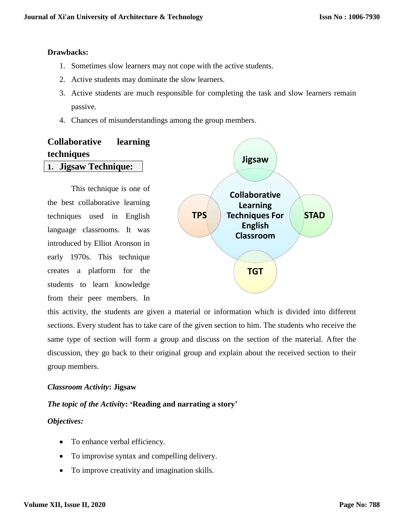#### **Drawbacks:**

- 1. Sometimes slow learners may not cope with the active students.
- 2. Active students may dominate the slow learners.
- 3. Active students are much responsible for completing the task and slow learners remain passive.
- 4. Chances of misunderstandings among the group members.

## **Collaborative learning techniques 1. Jigsaw Technique:**

This technique is one of the best collaborative learning techniques used in English language classrooms. It was introduced by Elliot Aronson in early 1970s. This technique creates a platform for the students to learn knowledge from their peer members. In



this activity, the students are given a material or information which is divided into different sections. Every student has to take care of the given section to him. The students who receive the same type of section will form a group and discuss on the section of the material. After the discussion, they go back to their original group and explain about the received section to their group members.

## *Classroom Activity***: Jigsaw**

## *The topic of the Activity***: 'Reading and narrating a story'**

## *Objectives:*

- To enhance verbal efficiency.
- To improvise syntax and compelling delivery.
- To improve creativity and imagination skills.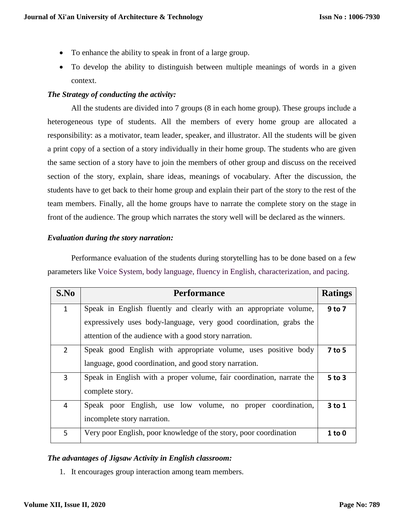- To enhance the ability to speak in front of a large group.
- To develop the ability to distinguish between multiple meanings of words in a given context.

## *The Strategy of conducting the activity:*

All the students are divided into 7 groups (8 in each home group). These groups include a heterogeneous type of students. All the members of every home group are allocated a responsibility: as a motivator, team leader, speaker, and illustrator. All the students will be given a print copy of a section of a story individually in their home group. The students who are given the same section of a story have to join the members of other group and discuss on the received section of the story, explain, share ideas, meanings of vocabulary. After the discussion, the students have to get back to their home group and explain their part of the story to the rest of the team members. Finally, all the home groups have to narrate the complete story on the stage in front of the audience. The group which narrates the story well will be declared as the winners.

## *Evaluation during the story narration:*

Performance evaluation of the students during storytelling has to be done based on a few parameters like Voice System, body language, fluency in English, characterization, and pacing.

| S.No           | <b>Performance</b>                                                    |            |  |  |  |  |  |
|----------------|-----------------------------------------------------------------------|------------|--|--|--|--|--|
| $\mathbf{1}$   | Speak in English fluently and clearly with an appropriate volume,     |            |  |  |  |  |  |
|                | expressively uses body-language, very good coordination, grabs the    |            |  |  |  |  |  |
|                | attention of the audience with a good story narration.                |            |  |  |  |  |  |
| $\overline{2}$ | Speak good English with appropriate volume, uses positive body        | 7 to 5     |  |  |  |  |  |
|                | language, good coordination, and good story narration.                |            |  |  |  |  |  |
| 3              | Speak in English with a proper volume, fair coordination, narrate the |            |  |  |  |  |  |
|                | complete story.                                                       |            |  |  |  |  |  |
| 4              | Speak poor English, use low volume, no proper coordination,           | $3$ to 1   |  |  |  |  |  |
|                | incomplete story narration.                                           |            |  |  |  |  |  |
| 5.             | Very poor English, poor knowledge of the story, poor coordination     | $1$ to $0$ |  |  |  |  |  |

## *The advantages of Jigsaw Activity in English classroom:*

1. It encourages group interaction among team members.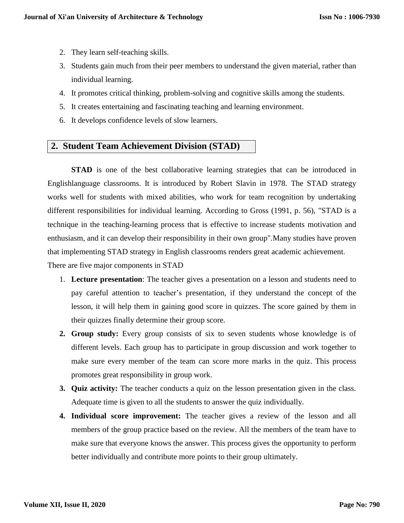- 2. They learn self-teaching skills.
- 3. Students gain much from their peer members to understand the given material, rather than individual learning.
- 4. It promotes critical thinking, problem-solving and cognitive skills among the students.
- 5. It creates entertaining and fascinating teaching and learning environment.
- 6. It develops confidence levels of slow learners.

## **2. Student Team Achievement Division (STAD)**

**STAD** is one of the best collaborative learning strategies that can be introduced in Englishlanguage classrooms. It is introduced by Robert Slavin in 1978. The STAD strategy works well for students with mixed abilities, who work for team recognition by undertaking different responsibilities for individual learning. According to Gross (1991, p. 56), "STAD is a technique in the teaching-learning process that is effective to increase students motivation and enthusiasm, and it can develop their responsibility in their own group".Many studies have proven that implementing STAD strategy in English classrooms renders great academic achievement. There are five major components in STAD

- 1. **Lecture presentation**: The teacher gives a presentation on a lesson and students need to pay careful attention to teacher's presentation, if they understand the concept of the lesson, it will help them in gaining good score in quizzes. The score gained by them in their quizzes finally determine their group score.
- **2. Group study:** Every group consists of six to seven students whose knowledge is of different levels. Each group has to participate in group discussion and work together to make sure every member of the team can score more marks in the quiz. This process promotes great responsibility in group work.
- **3. Quiz activity:** The teacher conducts a quiz on the lesson presentation given in the class. Adequate time is given to all the students to answer the quiz individually.
- **4. Individual score improvement:** The teacher gives a review of the lesson and all members of the group practice based on the review. All the members of the team have to make sure that everyone knows the answer. This process gives the opportunity to perform better individually and contribute more points to their group ultimately.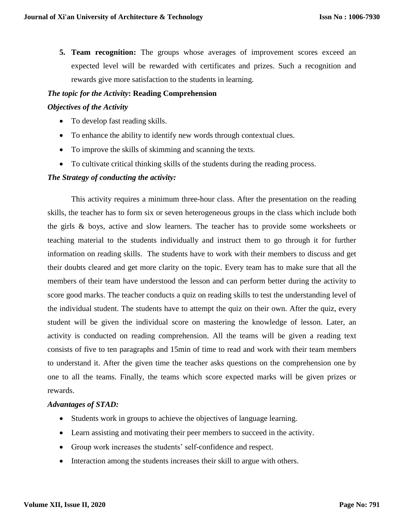**5. Team recognition:** The groups whose averages of improvement scores exceed an expected level will be rewarded with certificates and prizes. Such a recognition and rewards give more satisfaction to the students in learning.

#### *The topic for the Activity***: Reading Comprehension**

#### *Objectives of the Activity*

- To develop fast reading skills.
- To enhance the ability to identify new words through contextual clues.
- To improve the skills of skimming and scanning the texts.
- To cultivate critical thinking skills of the students during the reading process.

#### *The Strategy of conducting the activity:*

This activity requires a minimum three-hour class. After the presentation on the reading skills, the teacher has to form six or seven heterogeneous groups in the class which include both the girls & boys, active and slow learners. The teacher has to provide some worksheets or teaching material to the students individually and instruct them to go through it for further information on reading skills. The students have to work with their members to discuss and get their doubts cleared and get more clarity on the topic. Every team has to make sure that all the members of their team have understood the lesson and can perform better during the activity to score good marks. The teacher conducts a quiz on reading skills to test the understanding level of the individual student. The students have to attempt the quiz on their own. After the quiz, every student will be given the individual score on mastering the knowledge of lesson. Later, an activity is conducted on reading comprehension. All the teams will be given a reading text consists of five to ten paragraphs and 15min of time to read and work with their team members to understand it. After the given time the teacher asks questions on the comprehension one by one to all the teams. Finally, the teams which score expected marks will be given prizes or rewards.

#### *Advantages of STAD:*

- Students work in groups to achieve the objectives of language learning.
- Learn assisting and motivating their peer members to succeed in the activity.
- Group work increases the students' self-confidence and respect.
- Interaction among the students increases their skill to argue with others.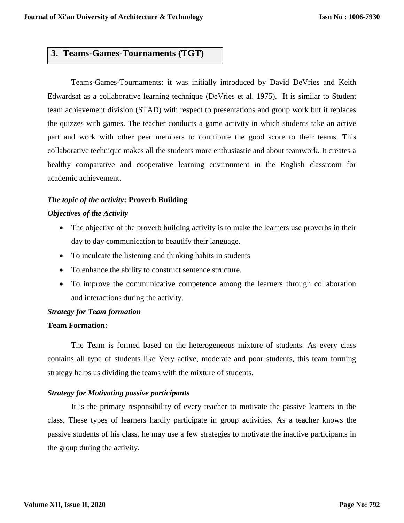## **3. Teams-Games-Tournaments (TGT)**

Teams-Games-Tournaments: it was initially introduced by David DeVries and Keith Edwardsat as a collaborative learning technique (DeVries et al. 1975). It is similar to Student team achievement division (STAD) with respect to presentations and group work but it replaces the quizzes with games. The teacher conducts a game activity in which students take an active part and work with other peer members to contribute the good score to their teams. This collaborative technique makes all the students more enthusiastic and about teamwork. It creates a healthy comparative and cooperative learning environment in the English classroom for academic achievement.

#### *The topic of the activity***: Proverb Building**

#### *Objectives of the Activity*

- The objective of the proverb building activity is to make the learners use proverbs in their day to day communication to beautify their language.
- To inculcate the listening and thinking habits in students
- To enhance the ability to construct sentence structure.
- To improve the communicative competence among the learners through collaboration and interactions during the activity.

#### *Strategy for Team formation*

#### **Team Formation:**

The Team is formed based on the heterogeneous mixture of students. As every class contains all type of students like Very active, moderate and poor students, this team forming strategy helps us dividing the teams with the mixture of students.

#### *Strategy for Motivating passive participants*

It is the primary responsibility of every teacher to motivate the passive learners in the class. These types of learners hardly participate in group activities. As a teacher knows the passive students of his class, he may use a few strategies to motivate the inactive participants in the group during the activity.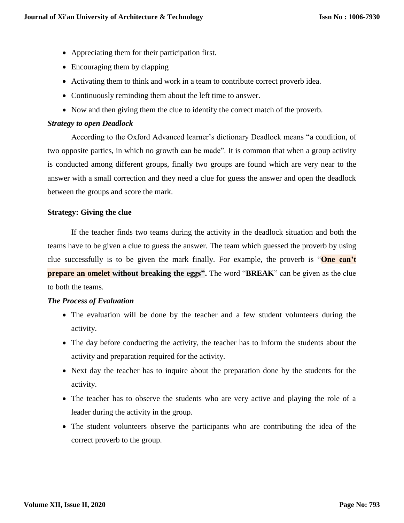- Appreciating them for their participation first.
- Encouraging them by clapping
- Activating them to think and work in a team to contribute correct proverb idea.
- Continuously reminding them about the left time to answer.
- Now and then giving them the clue to identify the correct match of the proverb.

## *Strategy to open Deadlock*

According to the Oxford Advanced learner's dictionary Deadlock means "a condition, of two opposite parties, in which no growth can be made". It is common that when a group activity is conducted among different groups, finally two groups are found which are very near to the answer with a small correction and they need a clue for guess the answer and open the deadlock between the groups and score the mark.

## **Strategy: Giving the clue**

If the teacher finds two teams during the activity in the deadlock situation and both the teams have to be given a clue to guess the answer. The team which guessed the proverb by using clue successfully is to be given the mark finally. For example, the proverb is "**One can't prepare an omelet without breaking the eggs".** The word "**BREAK**" can be given as the clue to both the teams.

## *The Process of Evaluation*

- The evaluation will be done by the teacher and a few student volunteers during the activity.
- The day before conducting the activity, the teacher has to inform the students about the activity and preparation required for the activity.
- Next day the teacher has to inquire about the preparation done by the students for the activity.
- The teacher has to observe the students who are very active and playing the role of a leader during the activity in the group.
- The student volunteers observe the participants who are contributing the idea of the correct proverb to the group.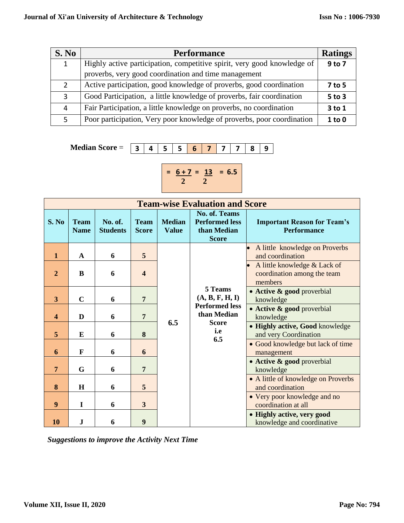| S. No         | <b>Performance</b>                                                      |            |  |  |  |
|---------------|-------------------------------------------------------------------------|------------|--|--|--|
| 1             | Highly active participation, competitive spirit, very good knowledge of |            |  |  |  |
|               | proverbs, very good coordination and time management                    |            |  |  |  |
| $\mathcal{P}$ | Active participation, good knowledge of proverbs, good coordination     | 7 to 5     |  |  |  |
| 3             | Good Participation, a little knowledge of proverbs, fair coordination   | $5$ to $3$ |  |  |  |
| 4             | Fair Participation, a little knowledge on proverbs, no coordination     | 3 to 1     |  |  |  |
|               | Poor participation, Very poor knowledge of proverbs, poor coordination  | 1 to 0     |  |  |  |

 **Median Score** =

**3 4 5 5 6 7 7 7 8 9**

$$
= \frac{6+7}{2} = \frac{13}{2} = 6.5
$$

| <b>Team-wise Evaluation and Score</b> |                            |                            |                             |                               |                                                                       |                                                                        |  |  |
|---------------------------------------|----------------------------|----------------------------|-----------------------------|-------------------------------|-----------------------------------------------------------------------|------------------------------------------------------------------------|--|--|
| S. No                                 | <b>Team</b><br><b>Name</b> | No. of.<br><b>Students</b> | <b>Team</b><br><b>Score</b> | <b>Median</b><br><b>Value</b> | No. of. Teams<br><b>Performed less</b><br>than Median<br><b>Score</b> | <b>Important Reason for Team's</b><br><b>Performance</b>               |  |  |
| $\mathbf{1}$                          | A                          | 6                          | 5                           |                               |                                                                       | A little knowledge on Proverbs<br>and coordination                     |  |  |
| 2                                     | B                          | 6                          | $\overline{\mathbf{4}}$     |                               |                                                                       | A little knowledge & Lack of<br>coordination among the team<br>members |  |  |
| 3                                     | $\mathbf C$                | 6                          | $\overline{7}$              |                               | 5 Teams<br>(A, B, F, H, I)                                            | • Active & good proverbial<br>knowledge                                |  |  |
| $\overline{\mathbf{4}}$               | D                          | 6                          | $\overline{7}$              | 6.5                           | <b>Performed less</b><br>than Median<br><b>Score</b>                  | • Active & good proverbial<br>knowledge                                |  |  |
| 5                                     | E                          | 6                          | 8                           |                               | <i>i.e</i><br>6.5                                                     | • Highly active, Good knowledge<br>and very Coordination               |  |  |
| 6                                     | $\mathbf F$                | 6                          | 6                           |                               |                                                                       | • Good knowledge but lack of time<br>management                        |  |  |
| 7                                     | G                          | 6                          | $\overline{7}$              |                               |                                                                       | • Active & good proverbial<br>knowledge                                |  |  |
| 8                                     | H                          | 6                          | 5                           |                               |                                                                       | • A little of knowledge on Proverbs<br>and coordination                |  |  |
| 9                                     | I                          | 6                          | 3                           |                               |                                                                       | • Very poor knowledge and no<br>coordination at all                    |  |  |
| 10                                    | J                          | 6                          | 9                           |                               |                                                                       | • Highly active, very good<br>knowledge and coordinative               |  |  |

*Suggestions to improve the Activity Next Time*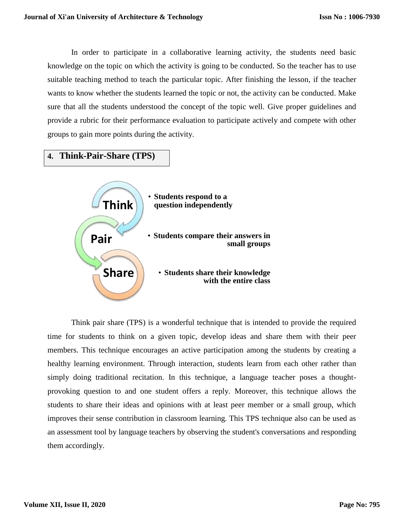In order to participate in a collaborative learning activity, the students need basic knowledge on the topic on which the activity is going to be conducted. So the teacher has to use suitable teaching method to teach the particular topic. After finishing the lesson, if the teacher wants to know whether the students learned the topic or not, the activity can be conducted. Make sure that all the students understood the concept of the topic well. Give proper guidelines and provide a rubric for their performance evaluation to participate actively and compete with other groups to gain more points during the activity.

**4. Think-Pair-Share (TPS)**



Think pair share (TPS) is a wonderful technique that is intended to provide the required time for students to think on a given topic, develop ideas and share them with their peer members. This technique encourages an active participation among the students by creating a healthy learning environment. Through interaction, students learn from each other rather than simply doing traditional recitation. In this technique, a language teacher poses a thoughtprovoking question to and one student offers a reply. Moreover, this technique allows the students to share their ideas and opinions with at least peer member or a small group, which improves their sense contribution in classroom learning. This TPS technique also can be used as an assessment tool by language teachers by observing the student's conversations and responding them accordingly.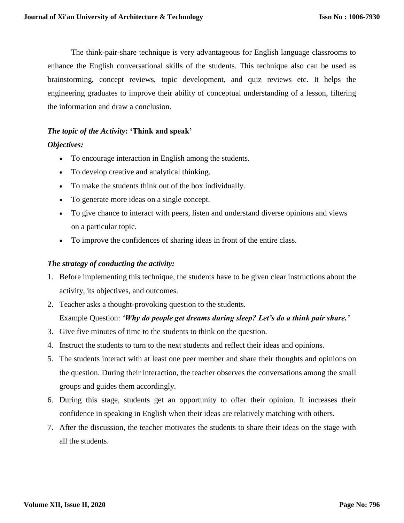The think-pair-share technique is very advantageous for English language classrooms to enhance the English conversational skills of the students. This technique also can be used as brainstorming, concept reviews, topic development, and quiz reviews etc. It helps the engineering graduates to improve their ability of conceptual understanding of a lesson, filtering the information and draw a conclusion.

#### *The topic of the Activity***: 'Think and speak'**

#### *Objectives:*

- To encourage interaction in English among the students.
- To develop creative and analytical thinking.
- To make the students think out of the box individually.
- To generate more ideas on a single concept.
- To give chance to interact with peers, listen and understand diverse opinions and views on a particular topic.
- To improve the confidences of sharing ideas in front of the entire class.

#### *The strategy of conducting the activity:*

- 1. Before implementing this technique, the students have to be given clear instructions about the activity, its objectives, and outcomes.
- 2. Teacher asks a thought-provoking question to the students. Example Question: *'Why do people get dreams during sleep? Let's do a think pair share.'*
- 3. Give five minutes of time to the students to think on the question.
- 4. Instruct the students to turn to the next students and reflect their ideas and opinions.
- 5. The students interact with at least one peer member and share their thoughts and opinions on the question. During their interaction, the teacher observes the conversations among the small groups and guides them accordingly.
- 6. During this stage, students get an opportunity to offer their opinion. It increases their confidence in speaking in English when their ideas are relatively matching with others.
- 7. After the discussion, the teacher motivates the students to share their ideas on the stage with all the students.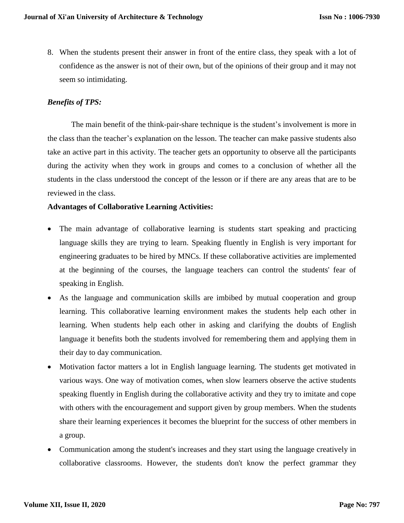8. When the students present their answer in front of the entire class, they speak with a lot of confidence as the answer is not of their own, but of the opinions of their group and it may not seem so intimidating.

#### *Benefits of TPS:*

The main benefit of the think-pair-share technique is the student's involvement is more in the class than the teacher's explanation on the lesson. The teacher can make passive students also take an active part in this activity. The teacher gets an opportunity to observe all the participants during the activity when they work in groups and comes to a conclusion of whether all the students in the class understood the concept of the lesson or if there are any areas that are to be reviewed in the class.

## **Advantages of Collaborative Learning Activities:**

- The main advantage of collaborative learning is students start speaking and practicing language skills they are trying to learn. Speaking fluently in English is very important for engineering graduates to be hired by MNCs. If these collaborative activities are implemented at the beginning of the courses, the language teachers can control the students' fear of speaking in English.
- As the language and communication skills are imbibed by mutual cooperation and group learning. This collaborative learning environment makes the students help each other in learning. When students help each other in asking and clarifying the doubts of English language it benefits both the students involved for remembering them and applying them in their day to day communication.
- Motivation factor matters a lot in English language learning. The students get motivated in various ways. One way of motivation comes, when slow learners observe the active students speaking fluently in English during the collaborative activity and they try to imitate and cope with others with the encouragement and support given by group members. When the students share their learning experiences it becomes the blueprint for the success of other members in a group.
- Communication among the student's increases and they start using the language creatively in collaborative classrooms. However, the students don't know the perfect grammar they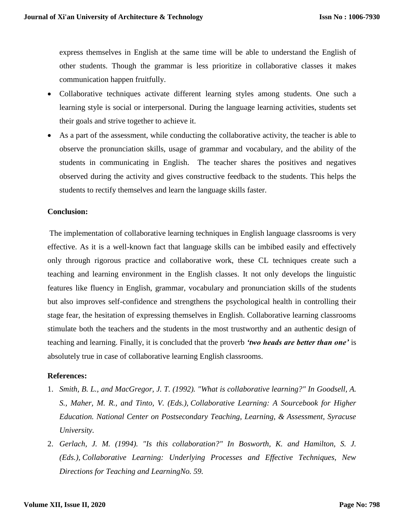express themselves in English at the same time will be able to understand the English of other students. Though the grammar is less prioritize in collaborative classes it makes communication happen fruitfully.

- Collaborative techniques activate different learning styles among students. One such a learning style is social or interpersonal. During the language learning activities, students set their goals and strive together to achieve it.
- As a part of the assessment, while conducting the collaborative activity, the teacher is able to observe the pronunciation skills, usage of grammar and vocabulary, and the ability of the students in communicating in English. The teacher shares the positives and negatives observed during the activity and gives constructive feedback to the students. This helps the students to rectify themselves and learn the language skills faster.

#### **Conclusion:**

The implementation of collaborative learning techniques in English language classrooms is very effective. As it is a well-known fact that language skills can be imbibed easily and effectively only through rigorous practice and collaborative work, these CL techniques create such a teaching and learning environment in the English classes. It not only develops the linguistic features like fluency in English, grammar, vocabulary and pronunciation skills of the students but also improves self-confidence and strengthens the psychological health in controlling their stage fear, the hesitation of expressing themselves in English. Collaborative learning classrooms stimulate both the teachers and the students in the most trustworthy and an authentic design of teaching and learning. Finally, it is concluded that the proverb *'two heads are better than one'* is absolutely true in case of collaborative learning English classrooms.

#### **References:**

- 1. *Smith, B. L., and MacGregor, J. T. (1992). "What is collaborative learning?" In Goodsell, A. S., Maher, M. R., and Tinto, V. (Eds.), Collaborative Learning: A Sourcebook for Higher Education. National Center on Postsecondary Teaching, Learning, & Assessment, Syracuse University.*
- 2. *Gerlach, J. M. (1994). "Is this collaboration?" In Bosworth, K. and Hamilton, S. J. (Eds.), Collaborative Learning: Underlying Processes and Effective Techniques, New Directions for Teaching and LearningNo. 59.*